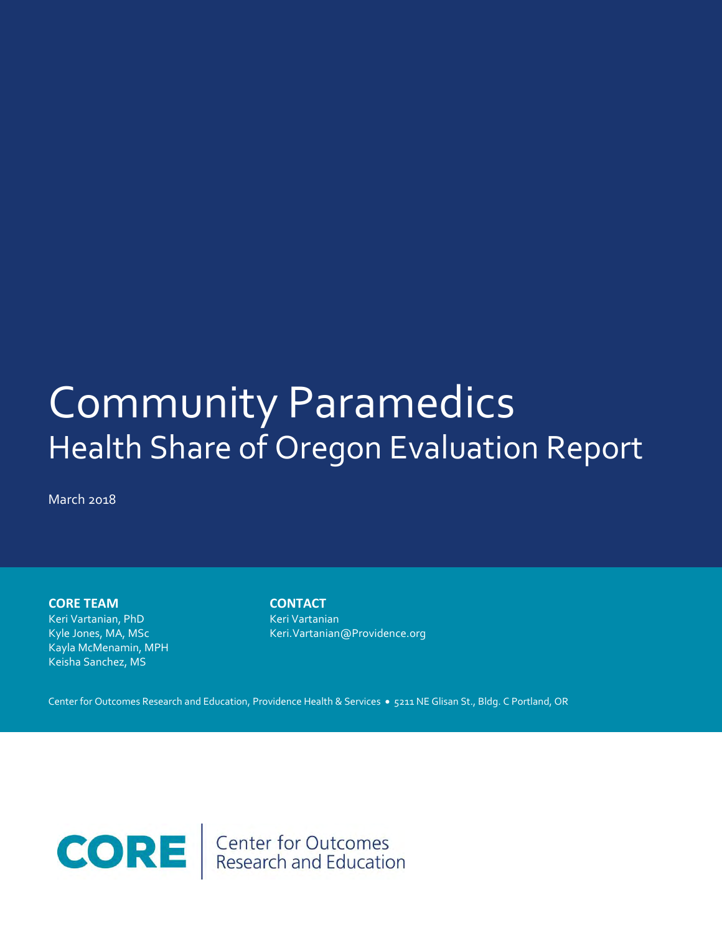# Behavioral Health Initiatives: Community Paramedics Community Paramedics Health Share of Oregon Evaluation Report

March 2018

**CORE TEAM**

Keri Vartanian, PhD Kyle Jones, MA, MSc Kayla McMenamin, MPH Keisha Sanchez, MS

**CONTACT** Keri Vartanian Keri.Vartanian@Providence.org

Center for Outcomes Research and Education, Providence Health & Services . 5211 NE Glisan St., Bldg. C Portland, OR

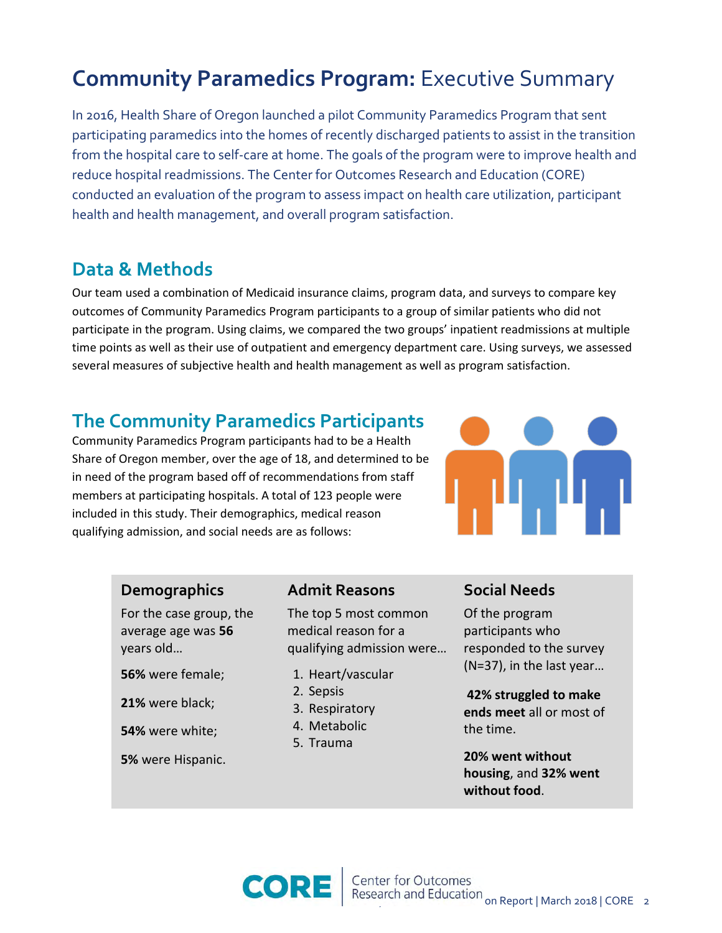# **Community Paramedics Program:** Executive Summary

In 2016, Health Share of Oregon launched a pilot Community Paramedics Program that sent participating paramedics into the homes of recently discharged patients to assist in the transition from the hospital care to self-care at home. The goals of the program were to improve health and reduce hospital readmissions. The Center for Outcomes Research and Education (CORE) conducted an evaluation of the program to assess impact on health care utilization, participant health and health management, and overall program satisfaction.

## **Data & Methods**

Our team used a combination of Medicaid insurance claims, program data, and surveys to compare key outcomes of Community Paramedics Program participants to a group of similar patients who did not participate in the program. Using claims, we compared the two groups' inpatient readmissions at multiple time points as well as their use of outpatient and emergency department care. Using surveys, we assessed several measures of subjective health and health management as well as program satisfaction.

## **The Community Paramedics Participants**

Community Paramedics Program participants had to be a Health Share of Oregon member, over the age of 18, and determined to be in need of the program based off of recommendations from staff members at participating hospitals. A total of 123 people were included in this study. Their demographics, medical reason qualifying admission, and social needs are as follows:



### **Demographics**

For the case group, the average age was **56**  years old…

**56%** were female;

**21%** were black;

**54%** were white;

**5%** were Hispanic.

### **Admit Reasons**

The top 5 most common medical reason for a qualifying admission were…

- 1. Heart/vascular
- 2. Sepsis
- 3. Respiratory
- 4. Metabolic
- 5. Trauma

### **Social Needs**

Of the program participants who responded to the survey (N=37), in the last year…

**42% struggled to make ends meet** all or most of the time.

**20% went without housing**, and **32% went without food**.

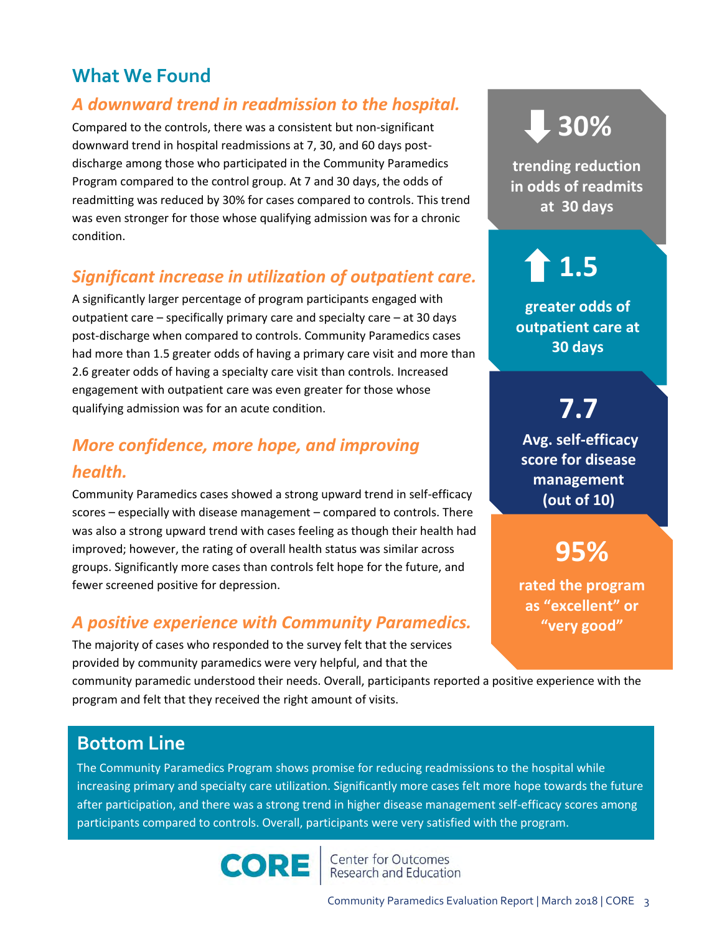# **What We Found**

### *A downward trend in readmission to the hospital.*

Compared to the controls, there was a consistent but non-significant downward trend in hospital readmissions at 7, 30, and 60 days postdischarge among those who participated in the Community Paramedics Program compared to the control group. At 7 and 30 days, the odds of readmitting was reduced by 30% for cases compared to controls. This trend was even stronger for those whose qualifying admission was for a chronic condition.

### *Significant increase in utilization of outpatient care.*

A significantly larger percentage of program participants engaged with outpatient care – specifically primary care and specialty care – at 30 days post-discharge when compared to controls. Community Paramedics cases had more than 1.5 greater odds of having a primary care visit and more than 2.6 greater odds of having a specialty care visit than controls. Increased engagement with outpatient care was even greater for those whose qualifying admission was for an acute condition.

## *More confidence, more hope, and improving health.*

Community Paramedics cases showed a strong upward trend in self-efficacy scores – especially with disease management – compared to controls. There was also a strong upward trend with cases feeling as though their health had improved; however, the rating of overall health status was similar across groups. Significantly more cases than controls felt hope for the future, and fewer screened positive for depression.

### *A positive experience with Community Paramedics.*

The majority of cases who responded to the survey felt that the services provided by community paramedics were very helpful, and that the

community paramedic understood their needs. Overall, participants reported a positive experience with the program and felt that they received the right amount of visits.

# **30%**

**trending reduction in odds of readmits at 30 days** 

# **1.5**

**greater odds of outpatient care at 30 days** 

**7.7 Avg. self-efficacy score for disease management (out of 10)**

# **95%**

**rated the program as "excellent" or "very good"**

## **Bottom Line**

The Community Paramedics Program shows promise for reducing readmissions to the hospital while increasing primary and specialty care utilization. Significantly more cases felt more hope towards the future after participation, and there was a strong trend in higher disease management self-efficacy scores among participants compared to controls. Overall, participants were very satisfied with the program.



Center for Outcomes<br>Research and Education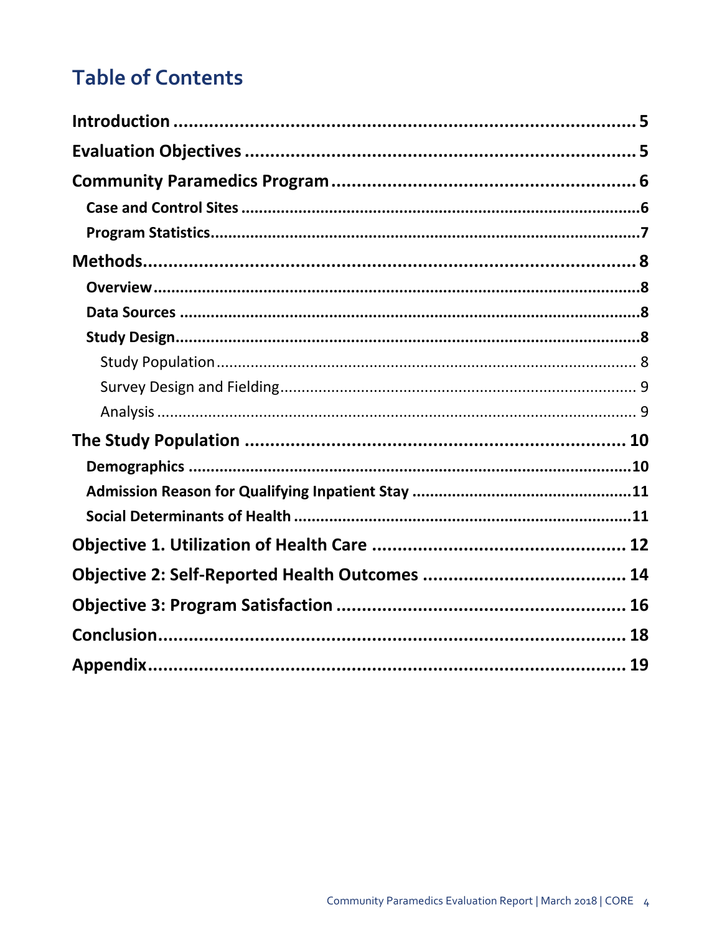# **Table of Contents**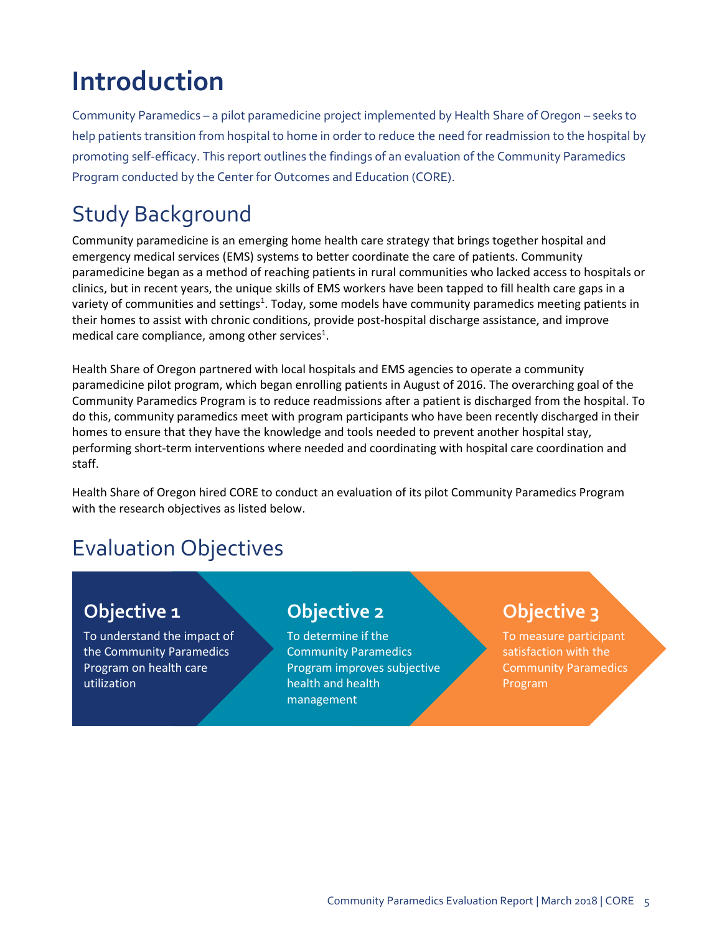# <span id="page-4-0"></span>**Introduction**

Community Paramedics – a pilot paramedicine project implemented by Health Share of Oregon – seeks to help patients transition from hospital to home in order to reduce the need for readmission to the hospital by promoting self-efficacy. This report outlines the findings of an evaluation of the Community Paramedics Program conducted by the Center for Outcomes and Education (CORE).

# Study Background

Community paramedicine is an emerging home health care strategy that brings together hospital and emergency medical services (EMS) systems to better coordinate the care of patients. Community paramedicine began as a method of reaching patients in rural communities who lacked access to hospitals or clinics, but in recent years, the unique skills of EMS workers have been tapped to fill health care gaps in a variety of communities and settings<sup>1</sup>. Today, some models have community paramedics meeting patients in their homes to assist with chronic conditions, provide post-hospital discharge assistance, and improve medical care compliance, among other services<sup>1</sup>.

Health Share of Oregon partnered with local hospitals and EMS agencies to operate a community paramedicine pilot program, which began enrolling patients in August of 2016. The overarching goal of the Community Paramedics Program is to reduce readmissions after a patient is discharged from the hospital. To do this, community paramedics meet with program participants who have been recently discharged in their homes to ensure that they have the knowledge and tools needed to prevent another hospital stay, performing short-term interventions where needed and coordinating with hospital care coordination and staff.

Health Share of Oregon hired CORE to conduct an evaluation of its pilot Community Paramedics Program with the research objectives as listed below.

# <span id="page-4-1"></span>Evaluation Objectives

# **Objective 1**

To understand the impact of the Community Paramedics Program on health care utilization

## **Objective 2**

To determine if the Community Paramedics Program improves subjective health and health management

# **Objective 3**

To measure participant satisfaction with the Community Paramedics Program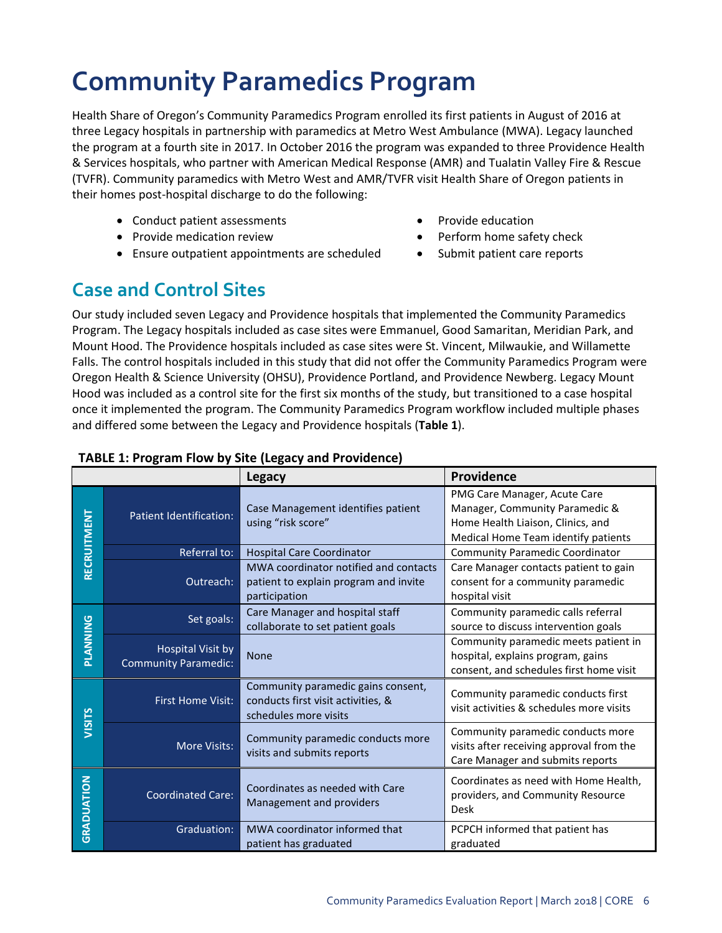# <span id="page-5-0"></span>**Community Paramedics Program**

Health Share of Oregon's Community Paramedics Program enrolled its first patients in August of 2016 at three Legacy hospitals in partnership with paramedics at Metro West Ambulance (MWA). Legacy launched the program at a fourth site in 2017. In October 2016 the program was expanded to three Providence Health & Services hospitals, who partner with American Medical Response (AMR) and Tualatin Valley Fire & Rescue (TVFR). Community paramedics with Metro West and AMR/TVFR visit Health Share of Oregon patients in their homes post-hospital discharge to do the following:

- Conduct patient assessments **Access 1968** Provide education
- Provide medication review **Access 2018** Perform home safety check
- Ensure outpatient appointments are scheduled Submit patient care reports

# <span id="page-5-1"></span>**Case and Control Sites**

Our study included seven Legacy and Providence hospitals that implemented the Community Paramedics Program. The Legacy hospitals included as case sites were Emmanuel, Good Samaritan, Meridian Park, and Mount Hood. The Providence hospitals included as case sites were St. Vincent, Milwaukie, and Willamette Falls. The control hospitals included in this study that did not offer the Community Paramedics Program were Oregon Health & Science University (OHSU), Providence Portland, and Providence Newberg. Legacy Mount Hood was included as a control site for the first six months of the study, but transitioned to a case hospital once it implemented the program. The Community Paramedics Program workflow included multiple phases and differed some between the Legacy and Providence hospitals (**Table 1**).

|             |                                                         | <b>Legacy</b>                                                                                     | Providence                                                                                                                                 |
|-------------|---------------------------------------------------------|---------------------------------------------------------------------------------------------------|--------------------------------------------------------------------------------------------------------------------------------------------|
| RECRUITMENT | Patient Identification:                                 | Case Management identifies patient<br>using "risk score"                                          | PMG Care Manager, Acute Care<br>Manager, Community Paramedic &<br>Home Health Liaison, Clinics, and<br>Medical Home Team identify patients |
|             | Referral to:                                            | <b>Hospital Care Coordinator</b>                                                                  | Community Paramedic Coordinator                                                                                                            |
|             | Outreach:                                               | MWA coordinator notified and contacts<br>patient to explain program and invite<br>participation   | Care Manager contacts patient to gain<br>consent for a community paramedic<br>hospital visit                                               |
|             | Set goals:                                              | Care Manager and hospital staff<br>collaborate to set patient goals                               | Community paramedic calls referral<br>source to discuss intervention goals                                                                 |
| PLANNING    | <b>Hospital Visit by</b><br><b>Community Paramedic:</b> | <b>None</b>                                                                                       | Community paramedic meets patient in<br>hospital, explains program, gains<br>consent, and schedules first home visit                       |
| VISITS      | <b>First Home Visit:</b>                                | Community paramedic gains consent,<br>conducts first visit activities, &<br>schedules more visits | Community paramedic conducts first<br>visit activities & schedules more visits                                                             |
|             | More Visits:                                            | Community paramedic conducts more<br>visits and submits reports                                   | Community paramedic conducts more<br>visits after receiving approval from the<br>Care Manager and submits reports                          |
| GRADUATION  | <b>Coordinated Care:</b>                                | Coordinates as needed with Care<br>Management and providers                                       | Coordinates as need with Home Health,<br>providers, and Community Resource<br>Desk                                                         |
|             | Graduation:                                             | MWA coordinator informed that<br>patient has graduated                                            | PCPCH informed that patient has<br>graduated                                                                                               |

### **TABLE 1: Program Flow by Site (Legacy and Providence)**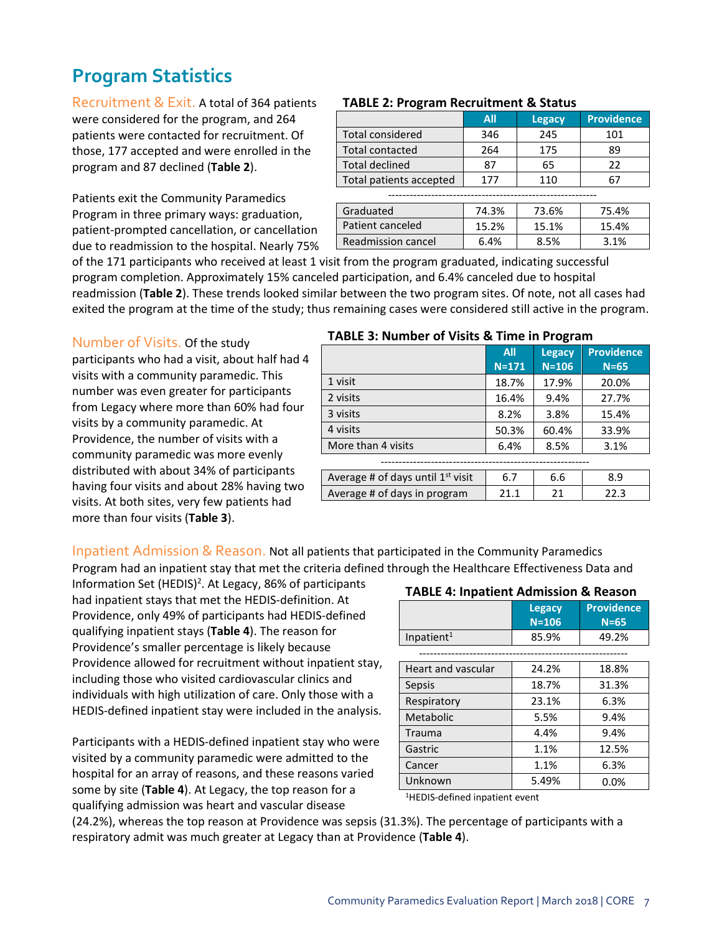# <span id="page-6-0"></span>**Program Statistics**

Recruitment & Exit. A total of 364 patients were considered for the program, and 264 patients were contacted for recruitment. Of those, 177 accepted and were enrolled in the program and 87 declined (**Table 2**).

Patients exit the Community Paramedics Program in three primary ways: graduation, patient-prompted cancellation, or cancellation due to readmission to the hospital. Nearly 75%

#### **TABLE 2: Program Recruitment & Status**

|                         | All   | <b>Legacy</b> | <b>Providence</b> |  |  |  |  |  |
|-------------------------|-------|---------------|-------------------|--|--|--|--|--|
| <b>Total considered</b> | 346   | 245           | 101               |  |  |  |  |  |
| <b>Total contacted</b>  | 264   | 175           | 89                |  |  |  |  |  |
| <b>Total declined</b>   | 87    | 65            | 22                |  |  |  |  |  |
| Total patients accepted | 177   | 110           | 67                |  |  |  |  |  |
|                         |       |               |                   |  |  |  |  |  |
| Graduated               | 74.3% | 73.6%         | 75.4%             |  |  |  |  |  |
| Patient canceled        | 15.2% | 15.1%         | 15.4%             |  |  |  |  |  |
| Readmission cancel      | 6.4%  | 8.5%          | 3.1%              |  |  |  |  |  |

of the 171 participants who received at least 1 visit from the program graduated, indicating successful program completion. Approximately 15% canceled participation, and 6.4% canceled due to hospital readmission (**Table 2**). These trends looked similar between the two program sites. Of note, not all cases had exited the program at the time of the study; thus remaining cases were considered still active in the program.

#### Number of Visits. Of the study

participants who had a visit, about half had 4 visits with a community paramedic. This number was even greater for participants from Legacy where more than 60% had four visits by a community paramedic. At Providence, the number of visits with a community paramedic was more evenly distributed with about 34% of participants having four visits and about 28% having two visits. At both sites, very few patients had more than four visits (**Table 3**).

#### **TABLE 3: Number of Visits & Time in Program**

|                                     | <b>All</b> | <b>Legacy</b> | <b>Providence</b> |
|-------------------------------------|------------|---------------|-------------------|
|                                     | $N = 171$  | $N = 106$     | $N=65$            |
| 1 visit                             | 18.7%      | 17.9%         | 20.0%             |
| 2 visits                            | 16.4%      | 9.4%          | 27.7%             |
| 3 visits                            | 8.2%       | 3.8%          | 15.4%             |
| 4 visits                            | 50.3%      | 60.4%         | 33.9%             |
| More than 4 visits                  | 6.4%       | 8.5%          | 3.1%              |
|                                     |            |               |                   |
| Average # of days until $1st$ visit | 6.7        | 6.6           | 8.9               |
| Average # of days in program        | 21 1       | 21            | 22.3              |

Inpatient Admission & Reason. Not all patients that participated in the Community Paramedics

Program had an inpatient stay that met the criteria defined through the Healthcare Effectiveness Data and

Information Set (HEDIS)<sup>2</sup>. At Legacy, 86% of participants had inpatient stays that met the HEDIS-definition. At Providence, only 49% of participants had HEDIS-defined qualifying inpatient stays (**Table 4**). The reason for Providence's smaller percentage is likely because Providence allowed for recruitment without inpatient stay, including those who visited cardiovascular clinics and individuals with high utilization of care. Only those with a HEDIS-defined inpatient stay were included in the analysis.

Participants with a HEDIS-defined inpatient stay who were visited by a community paramedic were admitted to the hospital for an array of reasons, and these reasons varied some by site (**Table 4**). At Legacy, the top reason for a qualifying admission was heart and vascular disease

#### **TABLE 4: Inpatient Admission & Reason**

|                        | Legacy<br>$N = 106$ | <b>Providence</b><br>$N=65$ |
|------------------------|---------------------|-----------------------------|
| Inpatient <sup>1</sup> | 85.9%               | 49.2%                       |

| <b>Heart and vascular</b> | 24.2% | 18.8% |
|---------------------------|-------|-------|
| Sepsis                    | 18.7% | 31.3% |
| Respiratory               | 23.1% | 6.3%  |
| Metabolic                 | 5.5%  | 9.4%  |
| <b>Trauma</b>             | 4.4%  | 9.4%  |
| Gastric                   | 1.1%  | 12.5% |
| Cancer                    | 1.1%  | 6.3%  |
| Unknown                   | 5.49% | 0.0%  |

1HEDIS-defined inpatient event

(24.2%), whereas the top reason at Providence was sepsis (31.3%). The percentage of participants with a respiratory admit was much greater at Legacy than at Providence (**Table 4**).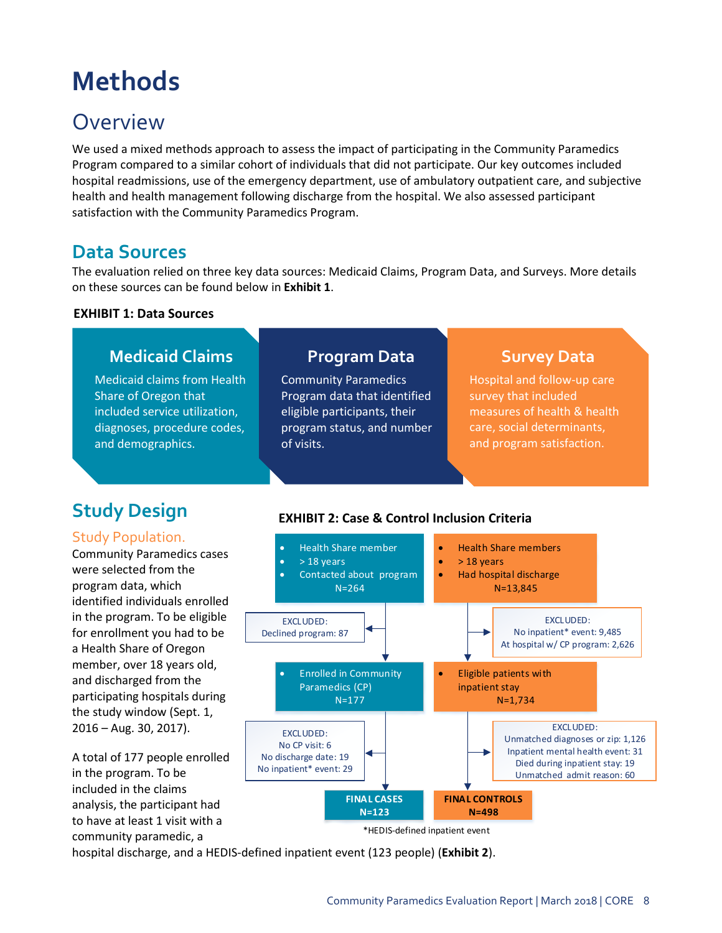# <span id="page-7-0"></span>**Methods**

# <span id="page-7-1"></span>**Overview**

We used a mixed methods approach to assess the impact of participating in the Community Paramedics Program compared to a similar cohort of individuals that did not participate. Our key outcomes included hospital readmissions, use of the emergency department, use of ambulatory outpatient care, and subjective health and health management following discharge from the hospital. We also assessed participant satisfaction with the Community Paramedics Program.

## <span id="page-7-2"></span>**Data Sources**

The evaluation relied on three key data sources: Medicaid Claims, Program Data, and Surveys. More details on these sources can be found below in **Exhibit 1**.

### **EXHIBIT 1: Data Sources**

# **Medicaid Claims**

Medicaid claims from Health Share of Oregon that included service utilization, diagnoses, procedure codes, and demographics.

### **Program Data**

Community Paramedics Program data that identified eligible participants, their program status, and number of visits.

### **Survey Data**

Hospital and follow-up care survey that included measures of health & health care, social determinants, and program satisfaction.

# <span id="page-7-3"></span>**Study Design**

### <span id="page-7-4"></span>Study Population.

Community Paramedics cases were selected from the program data, which identified individuals enrolled in the program. To be eligible for enrollment you had to be a Health Share of Oregon member, over 18 years old, and discharged from the participating hospitals during the study window (Sept. 1, 2016 – Aug. 30, 2017).

A total of 177 people enrolled in the program. To be included in the claims analysis, the participant had to have at least 1 visit with a community paramedic, a





hospital discharge, and a HEDIS-defined inpatient event (123 people) (**Exhibit 2**).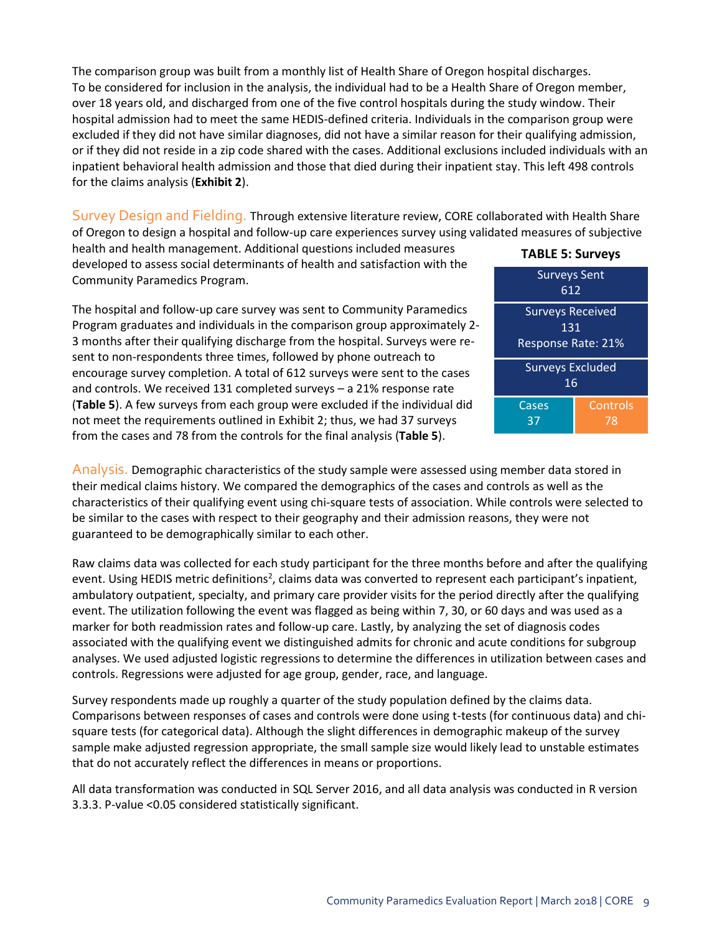The comparison group was built from a monthly list of Health Share of Oregon hospital discharges. To be considered for inclusion in the analysis, the individual had to be a Health Share of Oregon member, over 18 years old, and discharged from one of the five control hospitals during the study window. Their hospital admission had to meet the same HEDIS-defined criteria. Individuals in the comparison group were excluded if they did not have similar diagnoses, did not have a similar reason for their qualifying admission, or if they did not reside in a zip code shared with the cases. Additional exclusions included individuals with an inpatient behavioral health admission and those that died during their inpatient stay. This left 498 controls for the claims analysis (**Exhibit 2**).

<span id="page-8-0"></span>Survey Design and Fielding. Through extensive literature review, CORE collaborated with Health Share of Oregon to design a hospital and follow-up care experiences survey using validated measures of subjective

health and health management. Additional questions included measures developed to assess social determinants of health and satisfaction with the Community Paramedics Program.

The hospital and follow-up care survey was sent to Community Paramedics Program graduates and individuals in the comparison group approximately 2- 3 months after their qualifying discharge from the hospital. Surveys were resent to non-respondents three times, followed by phone outreach to encourage survey completion. A total of 612 surveys were sent to the cases and controls. We received 131 completed surveys – a 21% response rate (**Table 5**). A few surveys from each group were excluded if the individual did not meet the requirements outlined in Exhibit 2; thus, we had 37 surveys from the cases and 78 from the controls for the final analysis (**Table 5**).

| <b>TABLE 5: Surveys</b>                                     |                |  |  |  |
|-------------------------------------------------------------|----------------|--|--|--|
| <b>Surveys Sent</b><br>612                                  |                |  |  |  |
| <b>Surveys Received</b><br>131<br><b>Response Rate: 21%</b> |                |  |  |  |
| <b>Surveys Excluded</b><br>16                               |                |  |  |  |
| Cases<br>37                                                 | Controls<br>78 |  |  |  |

<span id="page-8-1"></span>Analysis. Demographic characteristics of the study sample were assessed using member data stored in their medical claims history. We compared the demographics of the cases and controls as well as the characteristics of their qualifying event using chi-square tests of association. While controls were selected to be similar to the cases with respect to their geography and their admission reasons, they were not guaranteed to be demographically similar to each other.

Raw claims data was collected for each study participant for the three months before and after the qualifying event. Using HEDIS metric definitions<sup>2</sup>, claims data was converted to represent each participant's inpatient, ambulatory outpatient, specialty, and primary care provider visits for the period directly after the qualifying event. The utilization following the event was flagged as being within 7, 30, or 60 days and was used as a marker for both readmission rates and follow-up care. Lastly, by analyzing the set of diagnosis codes associated with the qualifying event we distinguished admits for chronic and acute conditions for subgroup analyses. We used adjusted logistic regressions to determine the differences in utilization between cases and controls. Regressions were adjusted for age group, gender, race, and language.

Survey respondents made up roughly a quarter of the study population defined by the claims data. Comparisons between responses of cases and controls were done using t-tests (for continuous data) and chisquare tests (for categorical data). Although the slight differences in demographic makeup of the survey sample make adjusted regression appropriate, the small sample size would likely lead to unstable estimates that do not accurately reflect the differences in means or proportions.

<span id="page-8-2"></span>All data transformation was conducted in SQL Server 2016, and all data analysis was conducted in R version 3.3.3. P-value <0.05 considered statistically significant.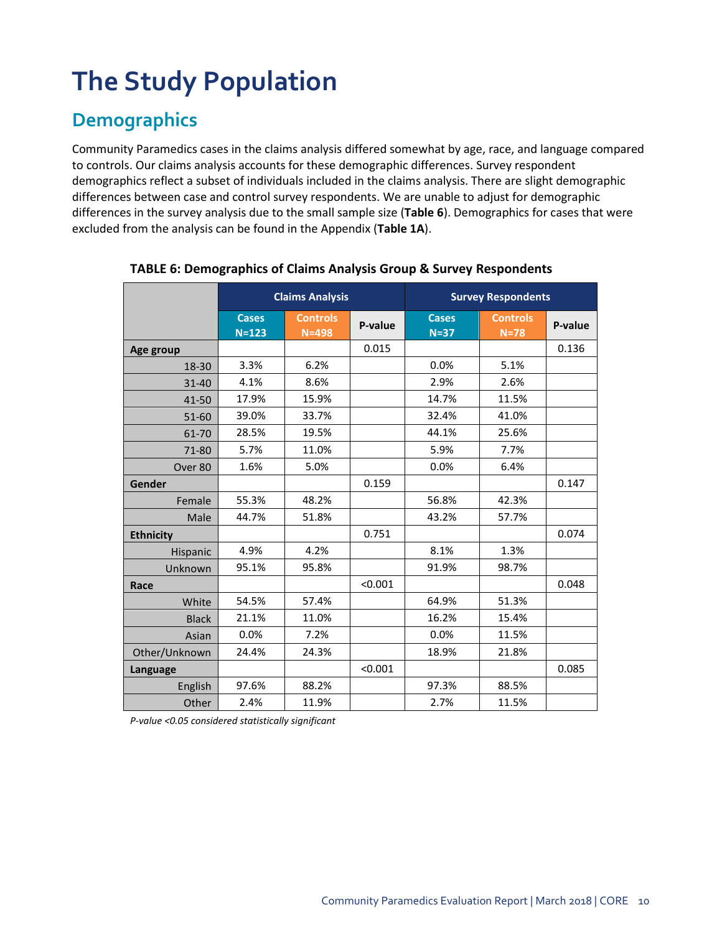# **The Study Population**

# <span id="page-9-0"></span>**Demographics**

Community Paramedics cases in the claims analysis differed somewhat by age, race, and language compared to controls. Our claims analysis accounts for these demographic differences. Survey respondent demographics reflect a subset of individuals included in the claims analysis. There are slight demographic differences between case and control survey respondents. We are unable to adjust for demographic differences in the survey analysis due to the small sample size (**Table 6**). Demographics for cases that were excluded from the analysis can be found in the Appendix (**Table 1A**).

|                  | <b>Claims Analysis</b>    |                              |         | <b>Survey Respondents</b> |                           |         |  |
|------------------|---------------------------|------------------------------|---------|---------------------------|---------------------------|---------|--|
|                  | <b>Cases</b><br>$N = 123$ | <b>Controls</b><br>$N = 498$ | P-value | <b>Cases</b><br>$N=37$    | <b>Controls</b><br>$N=78$ | P-value |  |
| Age group        |                           |                              | 0.015   |                           |                           | 0.136   |  |
| 18-30            | 3.3%                      | 6.2%                         |         | 0.0%                      | 5.1%                      |         |  |
| 31-40            | 4.1%                      | 8.6%                         |         | 2.9%                      | 2.6%                      |         |  |
| 41-50            | 17.9%                     | 15.9%                        |         | 14.7%                     | 11.5%                     |         |  |
| 51-60            | 39.0%                     | 33.7%                        |         | 32.4%                     | 41.0%                     |         |  |
| 61-70            | 28.5%                     | 19.5%                        |         | 44.1%                     | 25.6%                     |         |  |
| 71-80            | 5.7%                      | 11.0%                        |         | 5.9%                      | 7.7%                      |         |  |
| Over 80          | 1.6%                      | 5.0%                         |         | 0.0%                      | 6.4%                      |         |  |
| Gender           |                           |                              | 0.159   |                           |                           | 0.147   |  |
| Female           | 55.3%                     | 48.2%                        |         | 56.8%                     | 42.3%                     |         |  |
| Male             | 44.7%                     | 51.8%                        |         | 43.2%                     | 57.7%                     |         |  |
| <b>Ethnicity</b> |                           |                              | 0.751   |                           |                           | 0.074   |  |
| Hispanic         | 4.9%                      | 4.2%                         |         | 8.1%                      | 1.3%                      |         |  |
| Unknown          | 95.1%                     | 95.8%                        |         | 91.9%                     | 98.7%                     |         |  |
| Race             |                           |                              | < 0.001 |                           |                           | 0.048   |  |
| White            | 54.5%                     | 57.4%                        |         | 64.9%                     | 51.3%                     |         |  |
| <b>Black</b>     | 21.1%                     | 11.0%                        |         | 16.2%                     | 15.4%                     |         |  |
| Asian            | 0.0%                      | 7.2%                         |         | 0.0%                      | 11.5%                     |         |  |
| Other/Unknown    | 24.4%                     | 24.3%                        |         | 18.9%                     | 21.8%                     |         |  |
| Language         |                           |                              | < 0.001 |                           |                           | 0.085   |  |
| English          | 97.6%                     | 88.2%                        |         | 97.3%                     | 88.5%                     |         |  |
| Other            | 2.4%                      | 11.9%                        |         | 2.7%                      | 11.5%                     |         |  |

### **TABLE 6: Demographics of Claims Analysis Group & Survey Respondents**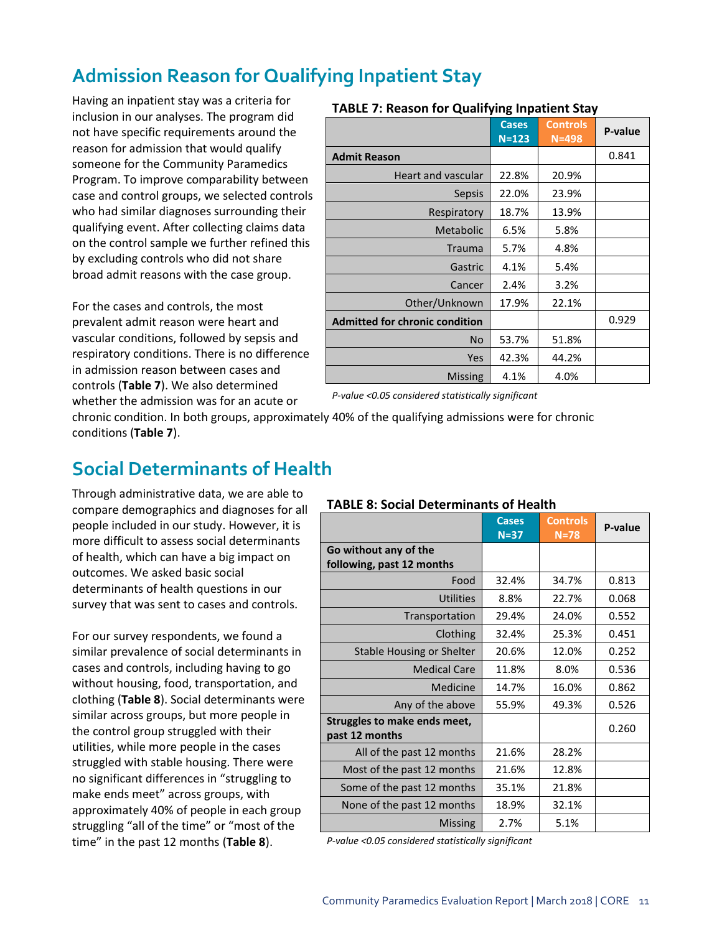# <span id="page-10-0"></span>**Admission Reason for Qualifying Inpatient Stay**

Having an inpatient stay was a criteria for inclusion in our analyses. The program did not have specific requirements around the reason for admission that would qualify someone for the Community Paramedics Program. To improve comparability between case and control groups, we selected controls who had similar diagnoses surrounding their qualifying event. After collecting claims data on the control sample we further refined this by excluding controls who did not share broad admit reasons with the case group.

For the cases and controls, the most prevalent admit reason were heart and vascular conditions, followed by sepsis and respiratory conditions. There is no difference in admission reason between cases and controls (**Table 7**). We also determined whether the admission was for an acute or

|                                       | <b>Cases</b><br>$N = 123$ | <b>Controls</b><br>$N = 498$ | P-value |
|---------------------------------------|---------------------------|------------------------------|---------|
| <b>Admit Reason</b>                   |                           |                              | 0.841   |
| <b>Heart and vascular</b>             | 22.8%                     | 20.9%                        |         |
| Sepsis                                | 22.0%                     | 23.9%                        |         |
| Respiratory                           | 18.7%                     | 13.9%                        |         |
| Metabolic                             | 6.5%                      | 5.8%                         |         |
| <b>Trauma</b>                         | 5.7%                      | 4.8%                         |         |
| Gastric                               | 4.1%                      | 5.4%                         |         |
| Cancer                                | 2.4%                      | 3.2%                         |         |
| Other/Unknown                         | 17.9%                     | 22.1%                        |         |
| <b>Admitted for chronic condition</b> |                           |                              | 0.929   |
| N <sub>o</sub>                        | 53.7%                     | 51.8%                        |         |
| Yes                                   | 42.3%                     | 44.2%                        |         |
| <b>Missing</b>                        | 4.1%                      | 4.0%                         |         |

### **TABLE 7: Reason for Qualifying Inpatient Stay**

*P-value <0.05 considered statistically significant*

chronic condition. In both groups, approximately 40% of the qualifying admissions were for chronic conditions (**Table 7**).

### <span id="page-10-1"></span>**Social Determinants of Health**

Through administrative data, we are able to compare demographics and diagnoses for all people included in our study. However, it is more difficult to assess social determinants of health, which can have a big impact on outcomes. We asked basic social determinants of health questions in our survey that was sent to cases and controls.

For our survey respondents, we found a similar prevalence of social determinants in cases and controls, including having to go without housing, food, transportation, and clothing (**Table 8**). Social determinants were similar across groups, but more people in the control group struggled with their utilities, while more people in the cases struggled with stable housing. There were no significant differences in "struggling to make ends meet" across groups, with approximately 40% of people in each group struggling "all of the time" or "most of the time" in the past 12 months (**Table 8**).

#### **TABLE 8: Social Determinants of Health**

|                                                | <b>Cases</b> | <b>Controls</b> | P-value |
|------------------------------------------------|--------------|-----------------|---------|
|                                                | $N = 37$     | $N=78$          |         |
| Go without any of the                          |              |                 |         |
| following, past 12 months                      |              |                 |         |
| Food                                           | 32.4%        | 34.7%           | 0.813   |
| <b>Utilities</b>                               | 8.8%         | 22.7%           | 0.068   |
| Transportation                                 | 29.4%        | 24.0%           | 0.552   |
| Clothing                                       | 32.4%        | 25.3%           | 0.451   |
| Stable Housing or Shelter                      | 20.6%        | 12.0%           | 0.252   |
| <b>Medical Care</b>                            | 11.8%        | 8.0%            | 0.536   |
| Medicine                                       | 14.7%        | 16.0%           | 0.862   |
| Any of the above                               | 55.9%        | 49.3%           | 0.526   |
| Struggles to make ends meet,<br>past 12 months |              |                 | 0.260   |
| All of the past 12 months                      | 21.6%        | 28.2%           |         |
| Most of the past 12 months                     | 21.6%        | 12.8%           |         |
| Some of the past 12 months                     | 35.1%        | 21.8%           |         |
| None of the past 12 months                     | 18.9%        | 32.1%           |         |
| <b>Missing</b>                                 | 2.7%         | 5.1%            |         |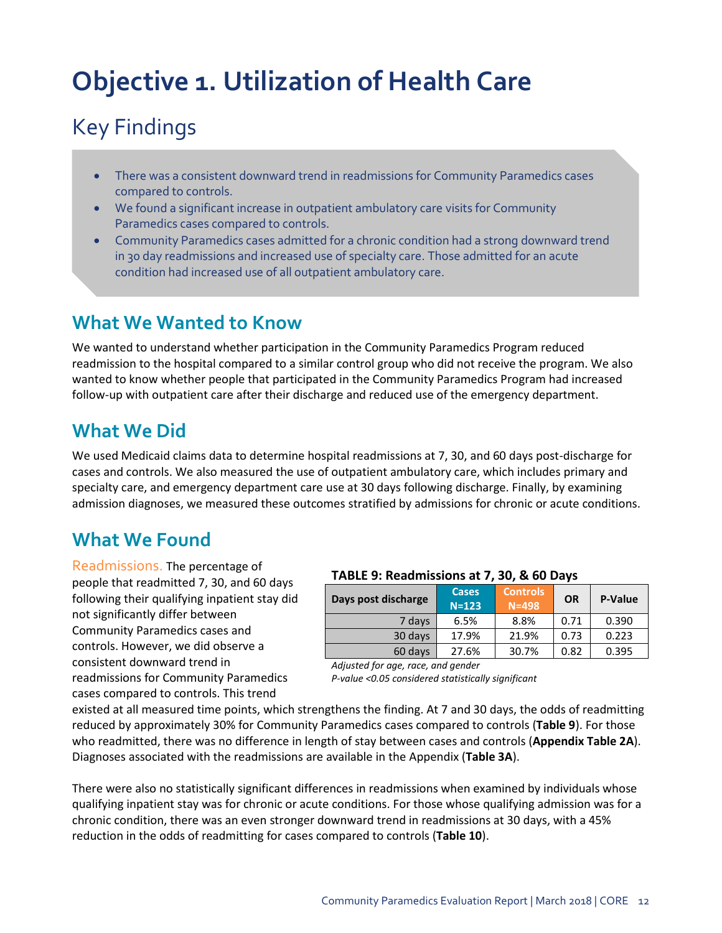# <span id="page-11-0"></span>**Objective 1. Utilization of Health Care**

# Key Findings

- There was a consistent downward trend in readmissions for Community Paramedics cases compared to controls.
- We found a significant increase in outpatient ambulatory care visits for Community Paramedics cases compared to controls.
- Community Paramedics cases admitted for a chronic condition had a strong downward trend in 30 day readmissions and increased use of specialty care. Those admitted for an acute condition had increased use of all outpatient ambulatory care.

## **What We Wanted to Know**

We wanted to understand whether participation in the Community Paramedics Program reduced readmission to the hospital compared to a similar control group who did not receive the program. We also wanted to know whether people that participated in the Community Paramedics Program had increased follow-up with outpatient care after their discharge and reduced use of the emergency department.

# **What We Did**

We used Medicaid claims data to determine hospital readmissions at 7, 30, and 60 days post-discharge for cases and controls. We also measured the use of outpatient ambulatory care, which includes primary and specialty care, and emergency department care use at 30 days following discharge. Finally, by examining admission diagnoses, we measured these outcomes stratified by admissions for chronic or acute conditions.

# **What We Found**

Readmissions. The percentage of people that readmitted 7, 30, and 60 days following their qualifying inpatient stay did not significantly differ between Community Paramedics cases and controls. However, we did observe a consistent downward trend in readmissions for Community Paramedics cases compared to controls. This trend

### **TABLE 9: Readmissions at 7, 30, & 60 Days**

| Days post discharge | <b>Cases</b><br>$N = 123$ | <b>Controls</b><br>$N = 498$ | OR   | P-Value |
|---------------------|---------------------------|------------------------------|------|---------|
| 7 days              | 6.5%                      | 8.8%                         | 0.71 | 0.390   |
| 30 days             | 17.9%                     | 21.9%                        | 0.73 | 0.223   |
| 60 days             | 27.6%                     | 30.7%                        | 0.82 | 0.395   |

*Adjusted for age, race, and gender P-value <0.05 considered statistically significant*

existed at all measured time points, which strengthens the finding. At 7 and 30 days, the odds of readmitting reduced by approximately 30% for Community Paramedics cases compared to controls (**Table 9**). For those who readmitted, there was no difference in length of stay between cases and controls (**Appendix Table 2A**). Diagnoses associated with the readmissions are available in the Appendix (**Table 3A**).

There were also no statistically significant differences in readmissions when examined by individuals whose qualifying inpatient stay was for chronic or acute conditions. For those whose qualifying admission was for a chronic condition, there was an even stronger downward trend in readmissions at 30 days, with a 45% reduction in the odds of readmitting for cases compared to controls (**Table 10**).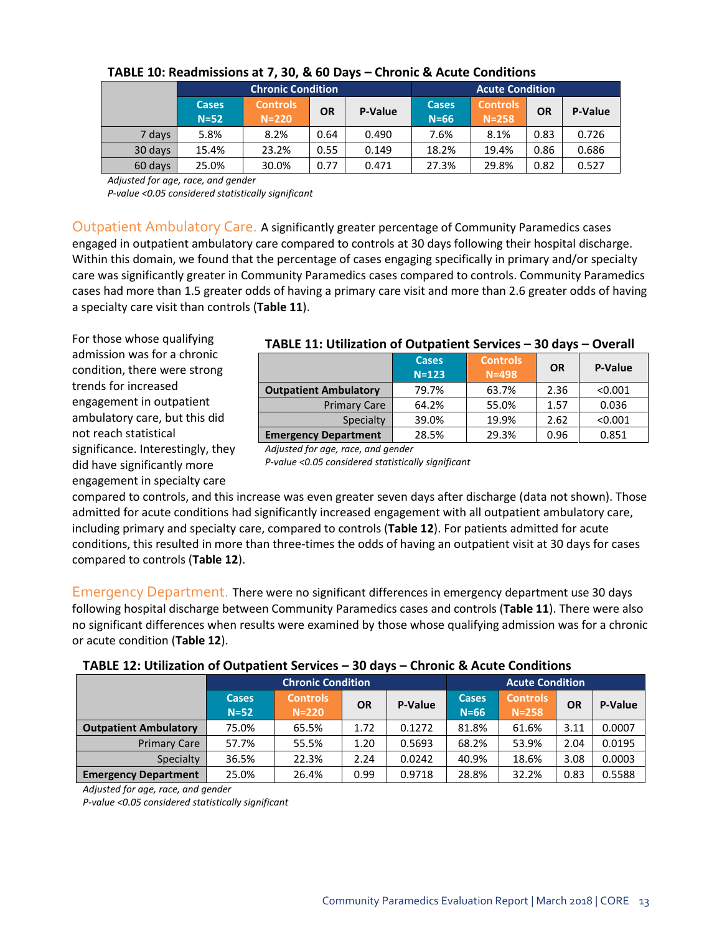|         |              | <b>Chronic Condition</b> | <b>Acute Condition</b> |         |              |                 |           |         |
|---------|--------------|--------------------------|------------------------|---------|--------------|-----------------|-----------|---------|
|         | <b>Cases</b> | <b>Controls</b>          | <b>OR</b>              | P-Value | <b>Cases</b> | <b>Controls</b> | <b>OR</b> | P-Value |
|         | $N=52$       | $N = 220$                |                        |         | $N=66$       | $N = 258$       |           |         |
| 7 days  | 5.8%         | 8.2%                     | 0.64                   | 0.490   | 7.6%         | 8.1%            | 0.83      | 0.726   |
| 30 days | 15.4%        | 23.2%                    | 0.55                   | 0.149   | 18.2%        | 19.4%           | 0.86      | 0.686   |
| 60 days | 25.0%        | 30.0%                    | 0.77                   | 0.471   | 27.3%        | 29.8%           | 0.82      | 0.527   |

### **TABLE 10: Readmissions at 7, 30, & 60 Days – Chronic & Acute Conditions**

*Adjusted for age, race, and gender*

*P-value <0.05 considered statistically significant*

Outpatient Ambulatory Care. A significantly greater percentage of Community Paramedics cases engaged in outpatient ambulatory care compared to controls at 30 days following their hospital discharge. Within this domain, we found that the percentage of cases engaging specifically in primary and/or specialty care was significantly greater in Community Paramedics cases compared to controls. Community Paramedics cases had more than 1.5 greater odds of having a primary care visit and more than 2.6 greater odds of having a specialty care visit than controls (**Table 11**).

For those whose qualifying admission was for a chronic condition, there were strong trends for increased engagement in outpatient ambulatory care, but this did not reach statistical significance. Interestingly, they did have significantly more engagement in specialty care

|                              | , ADEE 11, Othication of Oatpaticht Schvices |                              |           | -----          |
|------------------------------|----------------------------------------------|------------------------------|-----------|----------------|
|                              | <b>Cases</b><br>$N = 123$                    | <b>Controls</b><br>$N = 498$ | <b>OR</b> | <b>P-Value</b> |
| <b>Outpatient Ambulatory</b> | 79.7%                                        | 63.7%                        | 2.36      | < 0.001        |
| <b>Primary Care</b>          | 64.2%                                        | 55.0%                        | 1.57      | 0.036          |
| Specialty                    | 39.0%                                        | 19.9%                        | 2.62      | < 0.001        |
| <b>Emergency Department</b>  | 28.5%                                        | 29.3%                        | 0.96      | 0.851          |

### **TABLE 11: Utilization of Outpatient Services – 30 days – Overall**

*Adjusted for age, race, and gender P-value <0.05 considered statistically significant*

compared to controls, and this increase was even greater seven days after discharge (data not shown). Those admitted for acute conditions had significantly increased engagement with all outpatient ambulatory care, including primary and specialty care, compared to controls (**Table 12**). For patients admitted for acute conditions, this resulted in more than three-times the odds of having an outpatient visit at 30 days for cases compared to controls (**Table 12**).

Emergency Department. There were no significant differences in emergency department use 30 days following hospital discharge between Community Paramedics cases and controls (**Table 11**). There were also no significant differences when results were examined by those whose qualifying admission was for a chronic or acute condition (**Table 12**).

|                              | <b>Chronic Condition</b> |                            |           |         |                          | <b>Acute Condition</b>       |           |         |
|------------------------------|--------------------------|----------------------------|-----------|---------|--------------------------|------------------------------|-----------|---------|
|                              | <b>Cases</b><br>$N=52$   | <b>Controls</b><br>$N=220$ | <b>OR</b> | P-Value | <b>Cases</b><br>$N = 66$ | <b>Controls</b><br>$N = 258$ | <b>OR</b> | P-Value |
| <b>Outpatient Ambulatory</b> | 75.0%                    | 65.5%                      | 1.72      | 0.1272  | 81.8%                    | 61.6%                        | 3.11      | 0.0007  |
| <b>Primary Care</b>          | 57.7%                    | 55.5%                      | 1.20      | 0.5693  | 68.2%                    | 53.9%                        | 2.04      | 0.0195  |
| Specialty                    | 36.5%                    | 22.3%                      | 2.24      | 0.0242  | 40.9%                    | 18.6%                        | 3.08      | 0.0003  |
| <b>Emergency Department</b>  | 25.0%                    | 26.4%                      | 0.99      | 0.9718  | 28.8%                    | 32.2%                        | 0.83      | 0.5588  |

*Adjusted for age, race, and gender*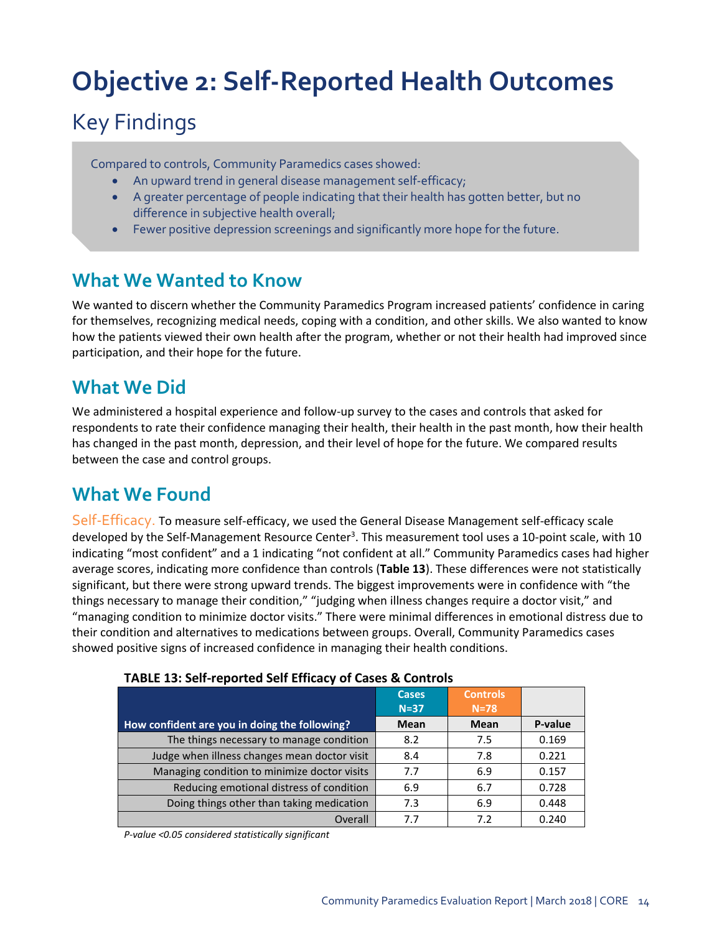# <span id="page-13-0"></span>**Objective 2: Self-Reported Health Outcomes**

# Key Findings

Compared to controls, Community Paramedics cases showed:

- An upward trend in general disease management self-efficacy;
- A greater percentage of people indicating that their health has gotten better, but no difference in subjective health overall;
- Fewer positive depression screenings and significantly more hope for the future.

### **What We Wanted to Know**

We wanted to discern whether the Community Paramedics Program increased patients' confidence in caring for themselves, recognizing medical needs, coping with a condition, and other skills. We also wanted to know how the patients viewed their own health after the program, whether or not their health had improved since participation, and their hope for the future.

## **What We Did**

We administered a hospital experience and follow-up survey to the cases and controls that asked for respondents to rate their confidence managing their health, their health in the past month, how their health has changed in the past month, depression, and their level of hope for the future. We compared results between the case and control groups.

# **What We Found**

Self-Efficacy. To measure self-efficacy, we used the General Disease Management self-efficacy scale developed by the Self-Management Resource Center<sup>3</sup>. This measurement tool uses a 10-point scale, with 10 indicating "most confident" and a 1 indicating "not confident at all." Community Paramedics cases had higher average scores, indicating more confidence than controls (**Table 13**). These differences were not statistically significant, but there were strong upward trends. The biggest improvements were in confidence with "the things necessary to manage their condition," "judging when illness changes require a doctor visit," and "managing condition to minimize doctor visits." There were minimal differences in emotional distress due to their condition and alternatives to medications between groups. Overall, Community Paramedics cases showed positive signs of increased confidence in managing their health conditions.

| TADLE 13. SEIT TEDOLICU SEIT ETHCACY OF CASES & CONTROIS |              |                 |         |
|----------------------------------------------------------|--------------|-----------------|---------|
|                                                          | <b>Cases</b> | <b>Controls</b> |         |
|                                                          | $N=37$       | $N=78$          |         |
| How confident are you in doing the following?            | <b>Mean</b>  | Mean            | P-value |
| The things necessary to manage condition                 | 8.2          | 7.5             | 0.169   |
| Judge when illness changes mean doctor visit             | 8.4          | 7.8             | 0.221   |
| Managing condition to minimize doctor visits             | 7.7          | 6.9             | 0.157   |
| Reducing emotional distress of condition                 | 6.9          | 6.7             | 0.728   |
| Doing things other than taking medication                | 7.3          | 6.9             | 0.448   |
| Overall                                                  | 7.7          | 7.2             | 0.240   |

### **TABLE 13: Self-reported Self Efficacy of Cases & Controls**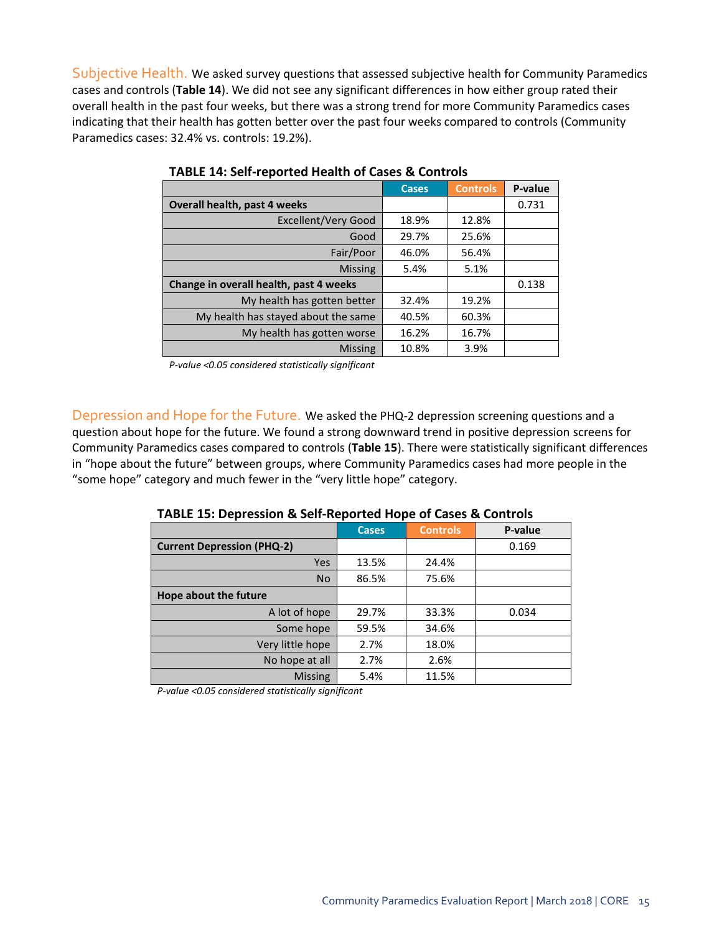Subjective Health. We asked survey questions that assessed subjective health for Community Paramedics cases and controls (**Table 14**). We did not see any significant differences in how either group rated their overall health in the past four weeks, but there was a strong trend for more Community Paramedics cases indicating that their health has gotten better over the past four weeks compared to controls (Community Paramedics cases: 32.4% vs. controls: 19.2%).

|                                        | <b>Cases</b> | <b>Controls</b> | P-value |
|----------------------------------------|--------------|-----------------|---------|
| Overall health, past 4 weeks           |              |                 | 0.731   |
| Excellent/Very Good                    | 18.9%        | 12.8%           |         |
| Good                                   | 29.7%        | 25.6%           |         |
| Fair/Poor                              | 46.0%        | 56.4%           |         |
| <b>Missing</b>                         | 5.4%         | 5.1%            |         |
| Change in overall health, past 4 weeks |              |                 | 0.138   |
| My health has gotten better            | 32.4%        | 19.2%           |         |
| My health has stayed about the same    | 40.5%        | 60.3%           |         |
| My health has gotten worse             | 16.2%        | 16.7%           |         |
| <b>Missing</b>                         | 10.8%        | 3.9%            |         |

#### **TABLE 14: Self-reported Health of Cases & Controls**

*P-value <0.05 considered statistically significant*

Depression and Hope for the Future. We asked the PHQ-2 depression screening questions and a question about hope for the future. We found a strong downward trend in positive depression screens for Community Paramedics cases compared to controls (**Table 15**). There were statistically significant differences in "hope about the future" between groups, where Community Paramedics cases had more people in the "some hope" category and much fewer in the "very little hope" category.

|                                   | <b>Cases</b> | <b>Controls</b> | P-value |
|-----------------------------------|--------------|-----------------|---------|
| <b>Current Depression (PHQ-2)</b> |              |                 | 0.169   |
| Yes                               | 13.5%        | 24.4%           |         |
| <b>No</b>                         | 86.5%        | 75.6%           |         |
| Hope about the future             |              |                 |         |
| A lot of hope                     | 29.7%        | 33.3%           | 0.034   |
| Some hope                         | 59.5%        | 34.6%           |         |
| Very little hope                  | 2.7%         | 18.0%           |         |
| No hope at all                    | 2.7%         | 2.6%            |         |
| <b>Missing</b>                    | 5.4%         | 11.5%           |         |

**TABLE 15: Depression & Self-Reported Hope of Cases & Controls**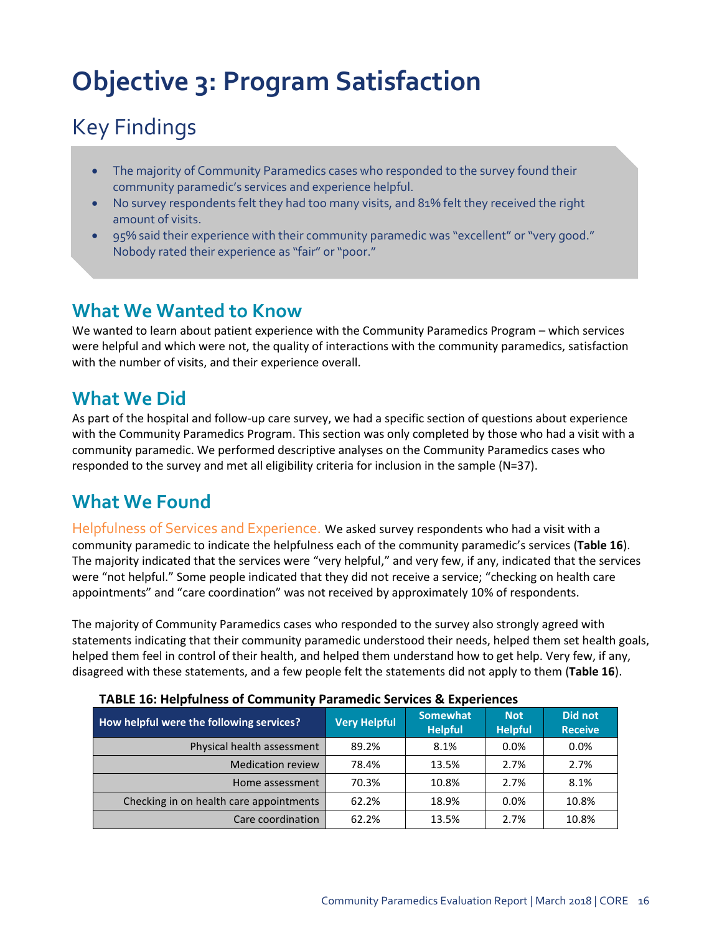# <span id="page-15-0"></span>**Objective 3: Program Satisfaction**

# Key Findings

- The majority of Community Paramedics cases who responded to the survey found their community paramedic's services and experience helpful.
- No survey respondents felt they had too many visits, and 81% felt they received the right amount of visits.
- 95% said their experience with their community paramedic was "excellent" or "very good." Nobody rated their experience as "fair" or "poor."

### **What We Wanted to Know**

We wanted to learn about patient experience with the Community Paramedics Program – which services were helpful and which were not, the quality of interactions with the community paramedics, satisfaction with the number of visits, and their experience overall.

## **What We Did**

As part of the hospital and follow-up care survey, we had a specific section of questions about experience with the Community Paramedics Program. This section was only completed by those who had a visit with a community paramedic. We performed descriptive analyses on the Community Paramedics cases who responded to the survey and met all eligibility criteria for inclusion in the sample (N=37).

# **What We Found**

Helpfulness of Services and Experience. We asked survey respondents who had a visit with a community paramedic to indicate the helpfulness each of the community paramedic's services (**Table 16**). The majority indicated that the services were "very helpful," and very few, if any, indicated that the services were "not helpful." Some people indicated that they did not receive a service; "checking on health care appointments" and "care coordination" was not received by approximately 10% of respondents.

The majority of Community Paramedics cases who responded to the survey also strongly agreed with statements indicating that their community paramedic understood their needs, helped them set health goals, helped them feel in control of their health, and helped them understand how to get help. Very few, if any, disagreed with these statements, and a few people felt the statements did not apply to them (**Table 16**).

| How helpful were the following services? | <b>Very Helpful</b> | <b>Somewhat</b><br><b>Helpful</b> | <b>Not</b><br><b>Helpful</b> | Did not<br><b>Receive</b> |  |
|------------------------------------------|---------------------|-----------------------------------|------------------------------|---------------------------|--|
| Physical health assessment               | 89.2%               | 8.1%                              | 0.0%                         | $0.0\%$                   |  |
| <b>Medication review</b>                 | 78.4%               | 13.5%                             | 2.7%                         | 2.7%                      |  |
| Home assessment                          | 70.3%               | 10.8%                             | 2.7%                         | 8.1%                      |  |
| Checking in on health care appointments  | 62.2%               | 18.9%                             | $0.0\%$                      | 10.8%                     |  |
| Care coordination                        | 62.2%               | 13.5%                             | 2.7%                         | 10.8%                     |  |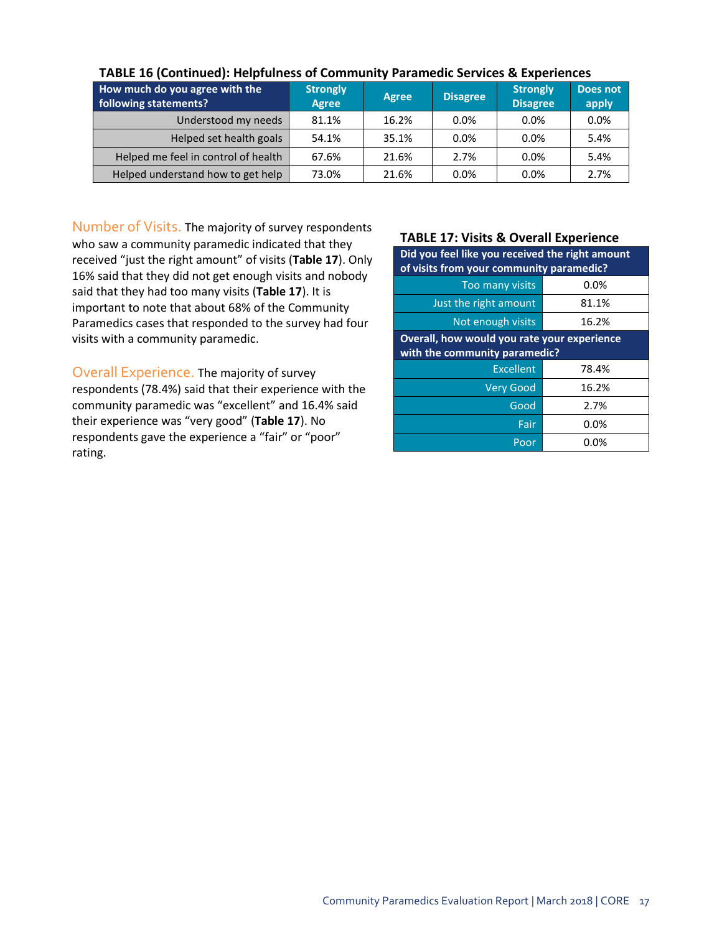| How much do you agree with the<br>following statements? | <b>Strongly</b><br><b>Agree</b> | <b>Agree</b> | <b>Disagree</b> | <b>Strongly</b><br><b>Disagree</b> | Does not<br>apply |
|---------------------------------------------------------|---------------------------------|--------------|-----------------|------------------------------------|-------------------|
| Understood my needs                                     | 81.1%                           | 16.2%        | 0.0%            | $0.0\%$                            | 0.0%              |
| Helped set health goals                                 | 54.1%                           | 35.1%        | 0.0%            | 0.0%                               | 5.4%              |
| Helped me feel in control of health                     | 67.6%                           | 21.6%        | 2.7%            | $0.0\%$                            | 5.4%              |
| Helped understand how to get help                       | 73.0%                           | 21.6%        | 0.0%            | 0.0%                               | 2.7%              |

### **TABLE 16 (Continued): Helpfulness of Community Paramedic Services & Experiences**

Number of Visits. The majority of survey respondents who saw a community paramedic indicated that they received "just the right amount" of visits (**Table 17**). Only 16% said that they did not get enough visits and nobody said that they had too many visits (**Table 17**). It is important to note that about 68% of the Community Paramedics cases that responded to the survey had four visits with a community paramedic.

Overall Experience. The majority of survey respondents (78.4%) said that their experience with the community paramedic was "excellent" and 16.4% said their experience was "very good" (**Table 17**). No respondents gave the experience a "fair" or "poor" rating.

#### **TABLE 17: Visits & Overall Experience**

| Did you feel like you received the right amount<br>of visits from your community paramedic? |       |  |  |
|---------------------------------------------------------------------------------------------|-------|--|--|
| Too many visits                                                                             | 0.0%  |  |  |
| Just the right amount                                                                       | 81.1% |  |  |
| Not enough visits                                                                           | 16.2% |  |  |
| Overall, how would you rate your experience<br>with the community paramedic?                |       |  |  |
| Excellent                                                                                   | 78.4% |  |  |
| <b>Very Good</b>                                                                            | 16.2% |  |  |
| Good                                                                                        | 2.7%  |  |  |
| Fair                                                                                        | 0.0%  |  |  |
| Poor                                                                                        | 0.0%  |  |  |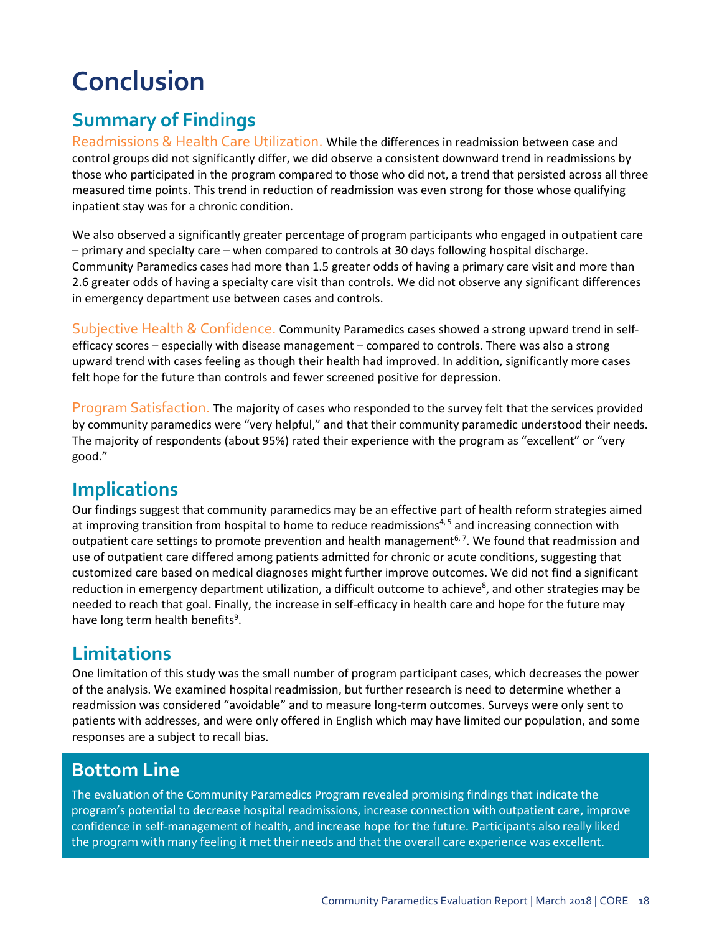# <span id="page-17-0"></span>**Conclusion**

# **Summary of Findings**

Readmissions & Health Care Utilization. While the differences in readmission between case and control groups did not significantly differ, we did observe a consistent downward trend in readmissions by those who participated in the program compared to those who did not, a trend that persisted across all three measured time points. This trend in reduction of readmission was even strong for those whose qualifying inpatient stay was for a chronic condition.

We also observed a significantly greater percentage of program participants who engaged in outpatient care – primary and specialty care – when compared to controls at 30 days following hospital discharge. Community Paramedics cases had more than 1.5 greater odds of having a primary care visit and more than 2.6 greater odds of having a specialty care visit than controls. We did not observe any significant differences in emergency department use between cases and controls.

Subjective Health & Confidence. Community Paramedics cases showed a strong upward trend in selfefficacy scores – especially with disease management – compared to controls. There was also a strong upward trend with cases feeling as though their health had improved. In addition, significantly more cases felt hope for the future than controls and fewer screened positive for depression.

Program Satisfaction. The majority of cases who responded to the survey felt that the services provided by community paramedics were "very helpful," and that their community paramedic understood their needs. The majority of respondents (about 95%) rated their experience with the program as "excellent" or "very good."

## **Implications**

Our findings suggest that community paramedics may be an effective part of health reform strategies aimed at improving transition from hospital to home to reduce readmissions<sup>4,5</sup> and increasing connection with outpatient care settings to promote prevention and health management<sup>6, 7</sup>. We found that readmission and use of outpatient care differed among patients admitted for chronic or acute conditions, suggesting that customized care based on medical diagnoses might further improve outcomes. We did not find a significant reduction in emergency department utilization, a difficult outcome to achieve<sup>8</sup>, and other strategies may be needed to reach that goal. Finally, the increase in self-efficacy in health care and hope for the future may have long term health benefits<sup>9</sup>.

## **Limitations**

One limitation of this study was the small number of program participant cases, which decreases the power of the analysis. We examined hospital readmission, but further research is need to determine whether a readmission was considered "avoidable" and to measure long-term outcomes. Surveys were only sent to patients with addresses, and were only offered in English which may have limited our population, and some responses are a subject to recall bias.

## **Bottom Line**

The evaluation of the Community Paramedics Program revealed promising findings that indicate the program's potential to decrease hospital readmissions, increase connection with outpatient care, improve confidence in self-management of health, and increase hope for the future. Participants also really liked the program with many feeling it met their needs and that the overall care experience was excellent.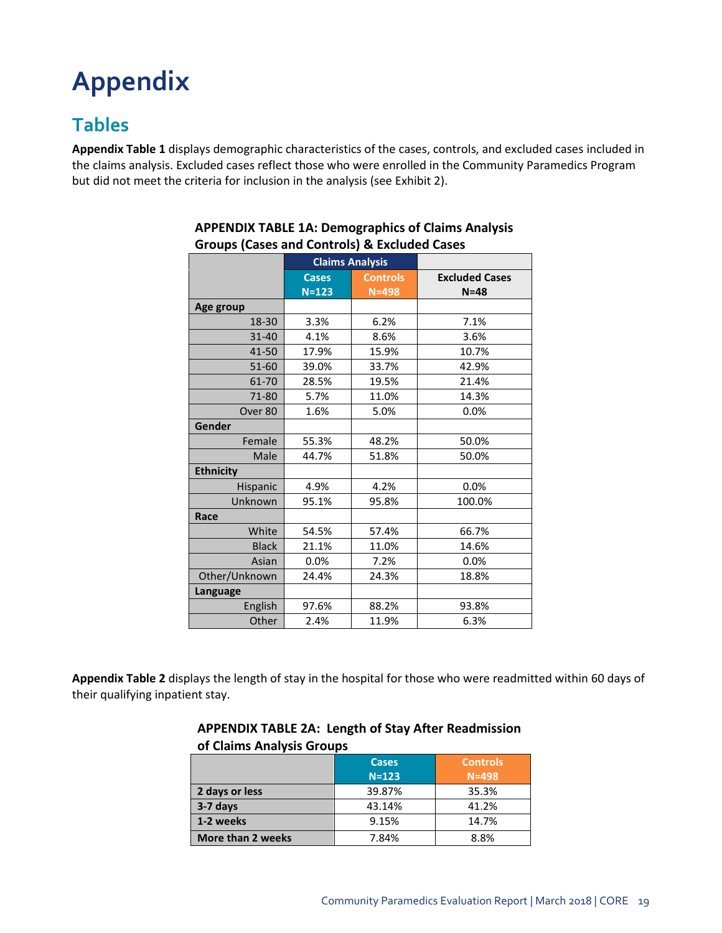# <span id="page-18-0"></span>**Appendix**

# **Tables**

**Appendix Table 1** displays demographic characteristics of the cases, controls, and excluded cases included in the claims analysis. Excluded cases reflect those who were enrolled in the Community Paramedics Program but did not meet the criteria for inclusion in the analysis (see Exhibit 2).

|                    | <b>Claims Analysis</b> |                 |                       |
|--------------------|------------------------|-----------------|-----------------------|
|                    | <b>Cases</b>           | <b>Controls</b> | <b>Excluded Cases</b> |
|                    | $N = 123$              | $N = 498$       | $N = 48$              |
| Age group          |                        |                 |                       |
| 18-30              | 3.3%                   | 6.2%            | 7.1%                  |
| 31-40              | 4.1%                   | 8.6%            | 3.6%                  |
| 41-50              | 17.9%                  | 15.9%           | 10.7%                 |
| $51 - 60$          | 39.0%                  | 33.7%           | 42.9%                 |
| 61-70              | 28.5%                  | 19.5%           | 21.4%                 |
| 71-80              | 5.7%                   | 11.0%           | 14.3%                 |
| Over <sub>80</sub> | 1.6%                   | 5.0%            | 0.0%                  |
| Gender             |                        |                 |                       |
| Female             | 55.3%                  | 48.2%           | 50.0%                 |
| Male               | 44.7%                  | 51.8%           | 50.0%                 |
| <b>Ethnicity</b>   |                        |                 |                       |
| Hispanic           | 4.9%                   | 4.2%            | 0.0%                  |
| Unknown            | 95.1%                  | 95.8%           | 100.0%                |
| Race               |                        |                 |                       |
| White              | 54.5%                  | 57.4%           | 66.7%                 |
| <b>Black</b>       | 21.1%                  | 11.0%           | 14.6%                 |
| Asian              | 0.0%                   | 7.2%            | 0.0%                  |
| Other/Unknown      | 24.4%                  | 24.3%           | 18.8%                 |
| Language           |                        |                 |                       |
| English            | 97.6%                  | 88.2%           | 93.8%                 |
| Other              | 2.4%                   | 11.9%           | 6.3%                  |

### **APPENDIX TABLE 1A: Demographics of Claims Analysis Groups (Cases and Controls) & Excluded Cases**

**Appendix Table 2** displays the length of stay in the hospital for those who were readmitted within 60 days of their qualifying inpatient stay.

| <b>UL CIGILIIS ANGLYSIS OLOGPS</b> |                           |                              |  |  |
|------------------------------------|---------------------------|------------------------------|--|--|
|                                    | <b>Cases</b><br>$N = 123$ | <b>Controls</b><br>$N = 498$ |  |  |
| 2 days or less                     | 39.87%                    | 35.3%                        |  |  |
| 3-7 days                           | 43.14%                    | 41.2%                        |  |  |
| 1-2 weeks                          | 9.15%                     | 14.7%                        |  |  |
| More than 2 weeks                  | 7.84%                     | 8.8%                         |  |  |

### **APPENDIX TABLE 2A: Length of Stay After Readmission of Claims Analysis Groups**